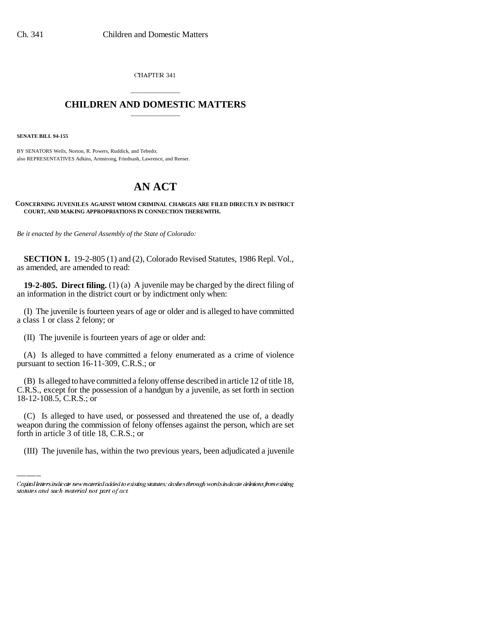CHAPTER 341

## \_\_\_\_\_\_\_\_\_\_\_\_\_\_\_ **CHILDREN AND DOMESTIC MATTERS** \_\_\_\_\_\_\_\_\_\_\_\_\_\_\_

**SENATE BILL 94-155**

BY SENATORS Wells, Norton, R. Powers, Ruddick, and Tebedo; also REPRESENTATIVES Adkins, Armstrong, Friednash, Lawrence, and Reeser.

## **AN ACT**

## **CONCERNING JUVENILES AGAINST WHOM CRIMINAL CHARGES ARE FILED DIRECTLY IN DISTRICT COURT, AND MAKING APPROPRIATIONS IN CONNECTION THEREWITH.**

*Be it enacted by the General Assembly of the State of Colorado:*

**SECTION 1.** 19-2-805 (1) and (2), Colorado Revised Statutes, 1986 Repl. Vol., as amended, are amended to read:

**19-2-805. Direct filing.** (1) (a) A juvenile may be charged by the direct filing of an information in the district court or by indictment only when:

(I) The juvenile is fourteen years of age or older and is alleged to have committed a class 1 or class 2 felony; or

(II) The juvenile is fourteen years of age or older and:

(A) Is alleged to have committed a felony enumerated as a crime of violence pursuant to section 16-11-309, C.R.S.; or

(B) Is alleged to have committed a felony offense described in article 12 of title 18, C.R.S., except for the possession of a handgun by a juvenile, as set forth in section 18-12-108.5, C.R.S.; or

(C) Is alleged to have used, or possessed and threatened the use of, a deadly weapon during the commission of felony offenses against the person, which are set forth in article 3 of title 18, C.R.S.; or

(III) The juvenile has, within the two previous years, been adjudicated a juvenile

Capital letters indicate new material added to existing statutes; dashes through words indicate deletions from existing statutes and such material not part of act.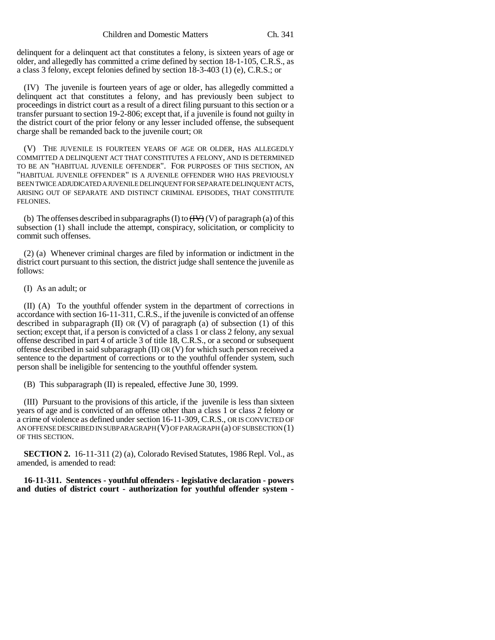delinquent for a delinquent act that constitutes a felony, is sixteen years of age or older, and allegedly has committed a crime defined by section 18-1-105, C.R.S., as a class 3 felony, except felonies defined by section 18-3-403 (1) (e), C.R.S.; or

(IV) The juvenile is fourteen years of age or older, has allegedly committed a delinquent act that constitutes a felony, and has previously been subject to proceedings in district court as a result of a direct filing pursuant to this section or a transfer pursuant to section 19-2-806; except that, if a juvenile is found not guilty in the district court of the prior felony or any lesser included offense, the subsequent charge shall be remanded back to the juvenile court; OR

(V) THE JUVENILE IS FOURTEEN YEARS OF AGE OR OLDER, HAS ALLEGEDLY COMMITTED A DELINQUENT ACT THAT CONSTITUTES A FELONY, AND IS DETERMINED TO BE AN "HABITUAL JUVENILE OFFENDER". FOR PURPOSES OF THIS SECTION, AN "HABITUAL JUVENILE OFFENDER" IS A JUVENILE OFFENDER WHO HAS PREVIOUSLY BEEN TWICE ADJUDICATED A JUVENILE DELINQUENT FOR SEPARATE DELINQUENT ACTS, ARISING OUT OF SEPARATE AND DISTINCT CRIMINAL EPISODES, THAT CONSTITUTE FELONIES.

(b) The offenses described in subparagraphs (I) to  $(\overline{HV})$  (V) of paragraph (a) of this subsection (1) shall include the attempt, conspiracy, solicitation, or complicity to commit such offenses.

(2) (a) Whenever criminal charges are filed by information or indictment in the district court pursuant to this section, the district judge shall sentence the juvenile as follows:

(I) As an adult; or

(II) (A) To the youthful offender system in the department of corrections in accordance with section 16-11-311, C.R.S., if the juvenile is convicted of an offense described in subparagraph  $(II)$  OR  $(V)$  of paragraph  $(a)$  of subsection  $(1)$  of this section; except that, if a person is convicted of a class 1 or class 2 felony, any sexual offense described in part 4 of article 3 of title 18, C.R.S., or a second or subsequent offense described in said subparagraph  $(II)$  OR  $(V)$  for which such person received a sentence to the department of corrections or to the youthful offender system, such person shall be ineligible for sentencing to the youthful offender system.

(B) This subparagraph (II) is repealed, effective June 30, 1999.

(III) Pursuant to the provisions of this article, if the juvenile is less than sixteen years of age and is convicted of an offense other than a class 1 or class 2 felony or a crime of violence as defined under section 16-11-309, C.R.S., OR IS CONVICTED OF AN OFFENSE DESCRIBED IN SUBPARAGRAPH  $(V)$  OF PARAGRAPH  $(a)$  OF SUBSECTION  $(1)$ OF THIS SECTION.

**SECTION 2.** 16-11-311 (2) (a), Colorado Revised Statutes, 1986 Repl. Vol., as amended, is amended to read:

**16-11-311. Sentences - youthful offenders - legislative declaration - powers and duties of district court - authorization for youthful offender system -**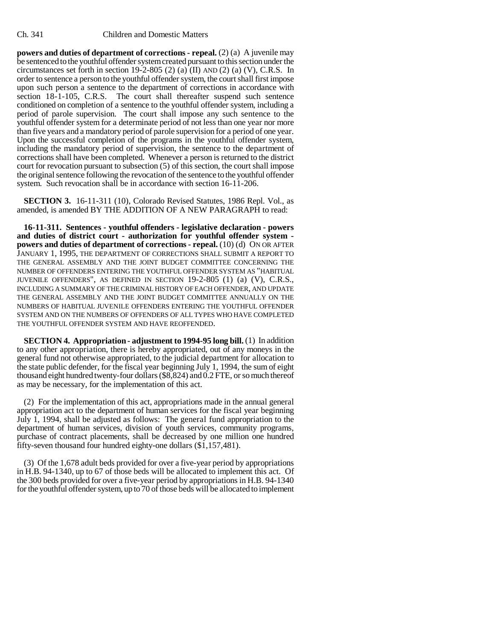**powers and duties of department of corrections - repeal.** (2) (a) A juvenile may be sentenced to the youthful offender system created pursuant to this section under the circumstances set forth in section 19-2-805 (2) (a) (II) AND (2) (a) (V), C.R.S. In order to sentence a person to the youthful offender system, the court shall first impose upon such person a sentence to the department of corrections in accordance with section 18-1-105, C.R.S. The court shall thereafter suspend such sentence conditioned on completion of a sentence to the youthful offender system, including a period of parole supervision. The court shall impose any such sentence to the youthful offender system for a determinate period of not less than one year nor more than five years and a mandatory period of parole supervision for a period of one year. Upon the successful completion of the programs in the youthful offender system, including the mandatory period of supervision, the sentence to the department of corrections shall have been completed. Whenever a person is returned to the district court for revocation pursuant to subsection (5) of this section, the court shall impose the original sentence following the revocation of the sentence to the youthful offender system. Such revocation shall be in accordance with section 16-11-206.

**SECTION 3.** 16-11-311 (10), Colorado Revised Statutes, 1986 Repl. Vol., as amended, is amended BY THE ADDITION OF A NEW PARAGRAPH to read:

**16-11-311. Sentences - youthful offenders - legislative declaration - powers and duties of district court - authorization for youthful offender system powers and duties of department of corrections - repeal.** (10) (d) ON OR AFTER JANUARY 1, 1995, THE DEPARTMENT OF CORRECTIONS SHALL SUBMIT A REPORT TO THE GENERAL ASSEMBLY AND THE JOINT BUDGET COMMITTEE CONCERNING THE NUMBER OF OFFENDERS ENTERING THE YOUTHFUL OFFENDER SYSTEM AS "HABITUAL JUVENILE OFFENDERS", AS DEFINED IN SECTION 19-2-805 (1) (a) (V), C.R.S., INCLUDING A SUMMARY OF THE CRIMINAL HISTORY OF EACH OFFENDER, AND UPDATE THE GENERAL ASSEMBLY AND THE JOINT BUDGET COMMITTEE ANNUALLY ON THE NUMBERS OF HABITUAL JUVENILE OFFENDERS ENTERING THE YOUTHFUL OFFENDER SYSTEM AND ON THE NUMBERS OF OFFENDERS OF ALL TYPES WHO HAVE COMPLETED THE YOUTHFUL OFFENDER SYSTEM AND HAVE REOFFENDED.

**SECTION 4. Appropriation - adjustment to 1994-95 long bill.** (1) In addition to any other appropriation, there is hereby appropriated, out of any moneys in the general fund not otherwise appropriated, to the judicial department for allocation to the state public defender, for the fiscal year beginning July 1, 1994, the sum of eight thousand eight hundred twenty-four dollars (\$8,824) and 0.2 FTE, or so much thereof as may be necessary, for the implementation of this act.

(2) For the implementation of this act, appropriations made in the annual general appropriation act to the department of human services for the fiscal year beginning July 1, 1994, shall be adjusted as follows: The general fund appropriation to the department of human services, division of youth services, community programs, purchase of contract placements, shall be decreased by one million one hundred fifty-seven thousand four hundred eighty-one dollars (\$1,157,481).

(3) Of the 1,678 adult beds provided for over a five-year period by appropriations in H.B. 94-1340, up to 67 of those beds will be allocated to implement this act. Of the 300 beds provided for over a five-year period by appropriations in H.B. 94-1340 for the youthful offender system, up to 70 of those beds will be allocated to implement